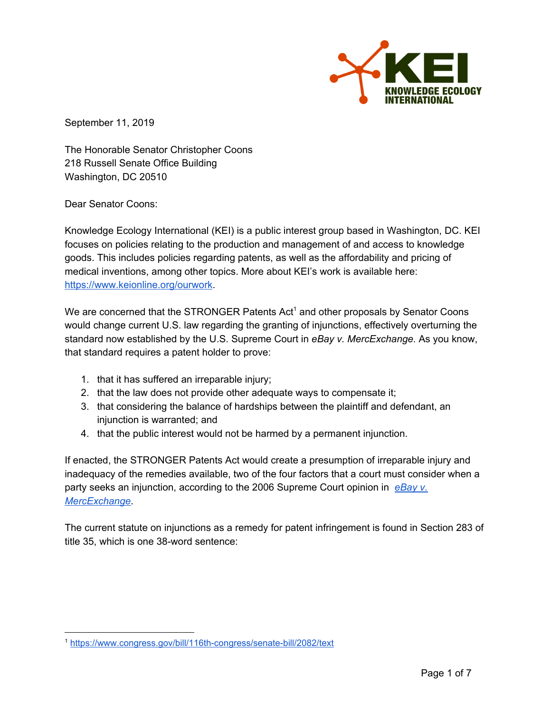

September 11, 2019

The Honorable Senator Christopher Coons 218 Russell Senate Office Building Washington, DC 20510

Dear Senator Coons:

Knowledge Ecology International (KEI) is a public interest group based in Washington, DC. KEI focuses on policies relating to the production and management of and access to knowledge goods. This includes policies regarding patents, as well as the affordability and pricing of medical inventions, among other topics. More about KEI's work is available here: <https://www.keionline.org/ourwork>.

We are concerned that the STRONGER Patents  $Act<sup>1</sup>$  and other proposals by Senator Coons would change current U.S. law regarding the granting of injunctions, effectively overturning the standard now established by the U.S. Supreme Court in *eBay v. MercExchange.* As you know, that standard requires a patent holder to prove:

- 1. that it has suffered an irreparable injury;
- 2. that the law does not provide other adequate ways to compensate it;
- 3. that considering the balance of hardships between the plaintiff and defendant, an injunction is warranted; and
- 4. that the public interest would not be harmed by a permanent injunction.

If enacted, the STRONGER Patents Act would create a presumption of irreparable injury and inadequacy of the remedies available, two of the four factors that a court must consider when a party seeks an injunction, according to the 2006 Supreme Court opinion in *[eBay](https://www.supremecourt.gov/opinions/05pdf/05-130.pdf) v. [MercExchange](https://www.supremecourt.gov/opinions/05pdf/05-130.pdf)*.

The current statute on injunctions as a remedy for patent infringement is found in Section 283 of title 35, which is one 38-word sentence:

<sup>1</sup> <https://www.congress.gov/bill/116th-congress/senate-bill/2082/text>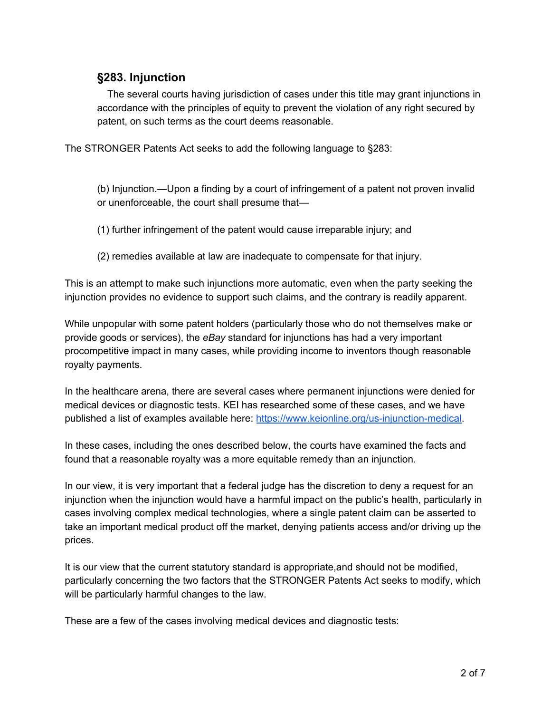## **§283. Injunction**

The several courts having jurisdiction of cases under this title may grant injunctions in accordance with the principles of equity to prevent the violation of any right secured by patent, on such terms as the court deems reasonable.

The STRONGER Patents Act seeks to add the following language to §283:

(b) Injunction.—Upon a finding by a court of infringement of a patent not proven invalid or unenforceable, the court shall presume that—

- (1) further infringement of the patent would cause irreparable injury; and
- (2) remedies available at law are inadequate to compensate for that injury.

This is an attempt to make such injunctions more automatic, even when the party seeking the injunction provides no evidence to support such claims, and the contrary is readily apparent.

While unpopular with some patent holders (particularly those who do not themselves make or provide goods or services), the *eBay* standard for injunctions has had a very important procompetitive impact in many cases, while providing income to inventors though reasonable royalty payments.

In the healthcare arena, there are several cases where permanent injunctions were denied for medical devices or diagnostic tests. KEI has researched some of these cases, and we have published a list of examples available here: <https://www.keionline.org/us-injunction-medical>.

In these cases, including the ones described below, the courts have examined the facts and found that a reasonable royalty was a more equitable remedy than an injunction.

In our view, it is very important that a federal judge has the discretion to deny a request for an injunction when the injunction would have a harmful impact on the public's health, particularly in cases involving complex medical technologies, where a single patent claim can be asserted to take an important medical product off the market, denying patients access and/or driving up the prices.

It is our view that the current statutory standard is appropriate,and should not be modified, particularly concerning the two factors that the STRONGER Patents Act seeks to modify, which will be particularly harmful changes to the law.

These are a few of the cases involving medical devices and diagnostic tests: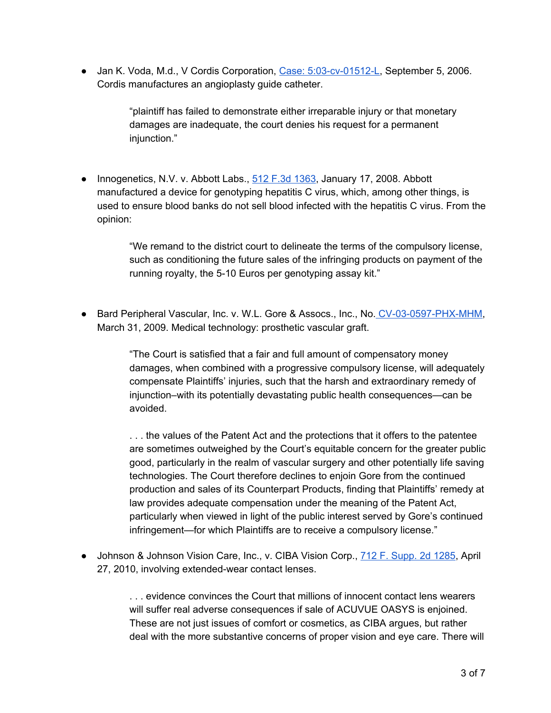● Jan K. Voda, M.d., V Cordis Corporation, Case: [5:03-cv-01512-L](https://www.keionline.org/wp-content/uploads/2018/04/Voda-v-Cordis-opinion.pdf), September 5, 2006. Cordis manufactures an angioplasty guide catheter.

> "plaintiff has failed to demonstrate either irreparable injury or that monetary damages are inadequate, the court denies his request for a permanent injunction."

● Innogenetics, N.V. v. Abbott Labs., 512 F.3d [1363](http://www.keionline.org/wp-content/uploads/Innogenetics-N.V.-v.-Abbott-Laboratories.pdf), January 17, 2008. Abbott manufactured a device for genotyping hepatitis C virus, which, among other things, is used to ensure blood banks do not sell blood infected with the hepatitis C virus. From the opinion:

> "We remand to the district court to delineate the terms of the compulsory license, such as conditioning the future sales of the infringing products on payment of the running royalty, the 5-10 Euros per genotyping assay kit."

● Bard Peripheral Vascular, Inc. v. W.L. Gore & Assocs., Inc., No. [CV-03-0597-PHX-MHM](https://www.keionline.org/wp-content/uploads/Bard-Peripheral-Vascular-Inc.-v.-W.L.-Gore-_-Associates-Inc.pdf), March 31, 2009. Medical technology: prosthetic vascular graft.

> "The Court is satisfied that a fair and full amount of compensatory money damages, when combined with a progressive compulsory license, will adequately compensate Plaintiffs' injuries, such that the harsh and extraordinary remedy of injunction–with its potentially devastating public health consequences—can be avoided.

> ... the values of the Patent Act and the protections that it offers to the patentee are sometimes outweighed by the Court's equitable concern for the greater public good, particularly in the realm of vascular surgery and other potentially life saving technologies. The Court therefore declines to enjoin Gore from the continued production and sales of its Counterpart Products, finding that Plaintiffs' remedy at law provides adequate compensation under the meaning of the Patent Act, particularly when viewed in light of the public interest served by Gore's continued infringement—for which Plaintiffs are to receive a compulsory license."

● Johnson & Johnson Vision Care, Inc., v. CIBA Vision Corp., 712 F. [Supp.](https://www.keionline.org/wp-content/uploads/2018/09/Johnson-Johnson-v.-CIBA-Vision.pdf) 2d 1285, April 27, 2010, involving extended-wear contact lenses.

> . . . evidence convinces the Court that millions of innocent contact lens wearers will suffer real adverse consequences if sale of ACUVUE OASYS is enjoined. These are not just issues of comfort or cosmetics, as CIBA argues, but rather deal with the more substantive concerns of proper vision and eye care. There will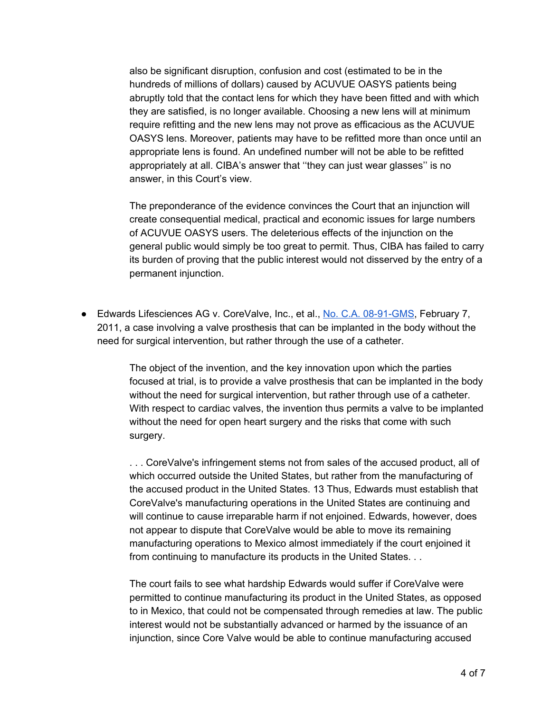also be significant disruption, confusion and cost (estimated to be in the hundreds of millions of dollars) caused by ACUVUE OASYS patients being abruptly told that the contact lens for which they have been fitted and with which they are satisfied, is no longer available. Choosing a new lens will at minimum require refitting and the new lens may not prove as efficacious as the ACUVUE OASYS lens. Moreover, patients may have to be refitted more than once until an appropriate lens is found. An undefined number will not be able to be refitted appropriately at all. CIBA's answer that ''they can just wear glasses'' is no answer, in this Court's view.

The preponderance of the evidence convinces the Court that an injunction will create consequential medical, practical and economic issues for large numbers of ACUVUE OASYS users. The deleterious effects of the injunction on the general public would simply be too great to permit. Thus, CIBA has failed to carry its burden of proving that the public interest would not disserved by the entry of a permanent injunction.

● Edwards Lifesciences AG v. CoreValve, Inc., et al., No. C.A. [08-91-GMS](https://www.keionline.org/wp-content/uploads/Edwards-Lifesciences-AG-v.-CoreValve-Inc..pdf), February 7, 2011, a case involving a valve prosthesis that can be implanted in the body without the need for surgical intervention, but rather through the use of a catheter.

> The object of the invention, and the key innovation upon which the parties focused at trial, is to provide a valve prosthesis that can be implanted in the body without the need for surgical intervention, but rather through use of a catheter. With respect to cardiac valves, the invention thus permits a valve to be implanted without the need for open heart surgery and the risks that come with such surgery.

> . . . CoreValve's infringement stems not from sales of the accused product, all of which occurred outside the United States, but rather from the manufacturing of the accused product in the United States. 13 Thus, Edwards must establish that CoreValve's manufacturing operations in the United States are continuing and will continue to cause irreparable harm if not enjoined. Edwards, however, does not appear to dispute that CoreValve would be able to move its remaining manufacturing operations to Mexico almost immediately if the court enjoined it from continuing to manufacture its products in the United States. . .

> The court fails to see what hardship Edwards would suffer if CoreValve were permitted to continue manufacturing its product in the United States, as opposed to in Mexico, that could not be compensated through remedies at law. The public interest would not be substantially advanced or harmed by the issuance of an injunction, since Core Valve would be able to continue manufacturing accused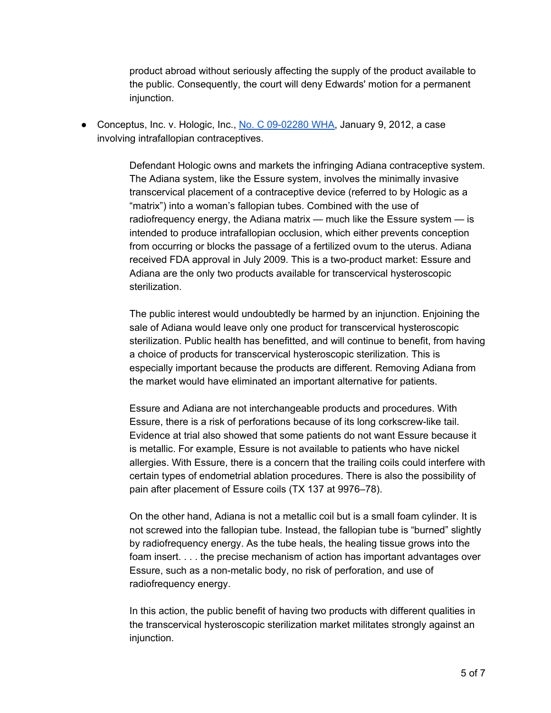product abroad without seriously affecting the supply of the product available to the public. Consequently, the court will deny Edwards' motion for a permanent injunction.

● Conceptus, Inc. v. Hologic, Inc., No. C [09-02280](https://www.keionline.org/wp-content/uploads/Conceptus-Inc.-v.-Hologic-Inc..pdf) WHA, January 9, 2012, a case involving intrafallopian contraceptives.

> Defendant Hologic owns and markets the infringing Adiana contraceptive system. The Adiana system, like the Essure system, involves the minimally invasive transcervical placement of a contraceptive device (referred to by Hologic as a "matrix") into a woman's fallopian tubes. Combined with the use of radiofrequency energy, the Adiana matrix — much like the Essure system — is intended to produce intrafallopian occlusion, which either prevents conception from occurring or blocks the passage of a fertilized ovum to the uterus. Adiana received FDA approval in July 2009. This is a two-product market: Essure and Adiana are the only two products available for transcervical hysteroscopic sterilization.

> The public interest would undoubtedly be harmed by an injunction. Enjoining the sale of Adiana would leave only one product for transcervical hysteroscopic sterilization. Public health has benefitted, and will continue to benefit, from having a choice of products for transcervical hysteroscopic sterilization. This is especially important because the products are different. Removing Adiana from the market would have eliminated an important alternative for patients.

> Essure and Adiana are not interchangeable products and procedures. With Essure, there is a risk of perforations because of its long corkscrew-like tail. Evidence at trial also showed that some patients do not want Essure because it is metallic. For example, Essure is not available to patients who have nickel allergies. With Essure, there is a concern that the trailing coils could interfere with certain types of endometrial ablation procedures. There is also the possibility of pain after placement of Essure coils (TX 137 at 9976–78).

> On the other hand, Adiana is not a metallic coil but is a small foam cylinder. It is not screwed into the fallopian tube. Instead, the fallopian tube is "burned" slightly by radiofrequency energy. As the tube heals, the healing tissue grows into the foam insert. . . . the precise mechanism of action has important advantages over Essure, such as a non-metalic body, no risk of perforation, and use of radiofrequency energy.

In this action, the public benefit of having two products with different qualities in the transcervical hysteroscopic sterilization market militates strongly against an injunction.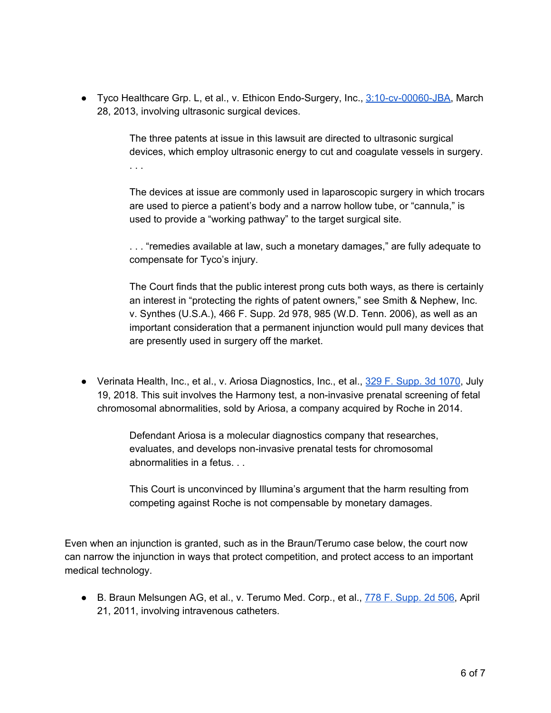● Tyco Healthcare Grp. L, et al., v. Ethicon Endo-Surgery, Inc., [3:10-cv-00060-JBA,](https://www.keionline.org/wp-content/uploads/Tyco-Healthcare-Group-LP-v.-Ethicon-Endo-Surgery-Inc..pdf) March 28, 2013, involving ultrasonic surgical devices.

> The three patents at issue in this lawsuit are directed to ultrasonic surgical devices, which employ ultrasonic energy to cut and coagulate vessels in surgery. . . .

> The devices at issue are commonly used in laparoscopic surgery in which trocars are used to pierce a patient's body and a narrow hollow tube, or "cannula," is used to provide a "working pathway" to the target surgical site.

> . . . "remedies available at law, such a monetary damages," are fully adequate to compensate for Tyco's injury.

> The Court finds that the public interest prong cuts both ways, as there is certainly an interest in "protecting the rights of patent owners," see Smith & Nephew, Inc. v. Synthes (U.S.A.), 466 F. Supp. 2d 978, 985 (W.D. Tenn. 2006), as well as an important consideration that a permanent injunction would pull many devices that are presently used in surgery off the market.

● Verinata Health, Inc., et al., v. Ariosa Diagnostics, Inc., et al., 329 F. [Supp.](https://www.keionline.org/wp-content/uploads/Verinata-v.-Ariosa.pdf) 3d 1070, July 19, 2018. This suit involves the Harmony test, a non-invasive prenatal screening of fetal chromosomal abnormalities, sold by Ariosa, a company acquired by Roche in 2014.

> Defendant Ariosa is a molecular diagnostics company that researches, evaluates, and develops non-invasive prenatal tests for chromosomal abnormalities in a fetus. . .

This Court is unconvinced by Illumina's argument that the harm resulting from competing against Roche is not compensable by monetary damages.

Even when an injunction is granted, such as in the Braun/Terumo case below, the court now can narrow the injunction in ways that protect competition, and protect access to an important medical technology.

● B. Braun Melsungen AG, et al., v. Terumo Med. Corp., et al., 778 F. [Supp.](https://www.keionline.org/wp-content/uploads/2018/09/B.-Braun-Melsungen-v.-Terumo-Medical.pdf) 2d 506, April 21, 2011, involving intravenous catheters.